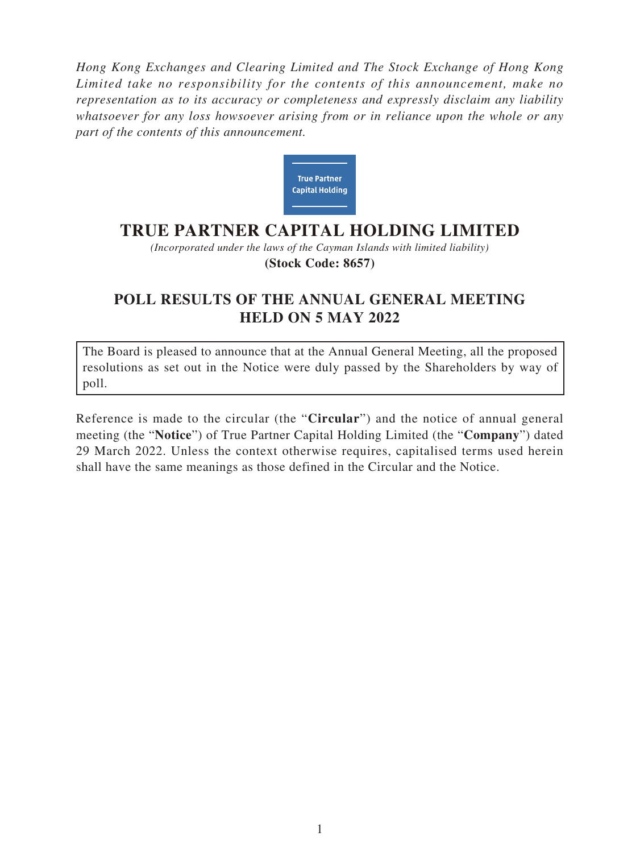*Hong Kong Exchanges and Clearing Limited and The Stock Exchange of Hong Kong Limited take no responsibility for the contents of this announcement, make no representation as to its accuracy or completeness and expressly disclaim any liability whatsoever for any loss howsoever arising from or in reliance upon the whole or any part of the contents of this announcement.*



## **TRUE PARTNER CAPITAL HOLDING LIMITED**

*(Incorporated under the laws of the Cayman Islands with limited liability)* **(Stock Code: 8657)**

## **POLL RESULTS OF THE ANNUAL GENERAL MEETING HELD ON 5 MAY 2022**

The Board is pleased to announce that at the Annual General Meeting, all the proposed resolutions as set out in the Notice were duly passed by the Shareholders by way of poll.

Reference is made to the circular (the "**Circular**") and the notice of annual general meeting (the "**Notice**") of True Partner Capital Holding Limited (the "**Company**") dated 29 March 2022. Unless the context otherwise requires, capitalised terms used herein shall have the same meanings as those defined in the Circular and the Notice.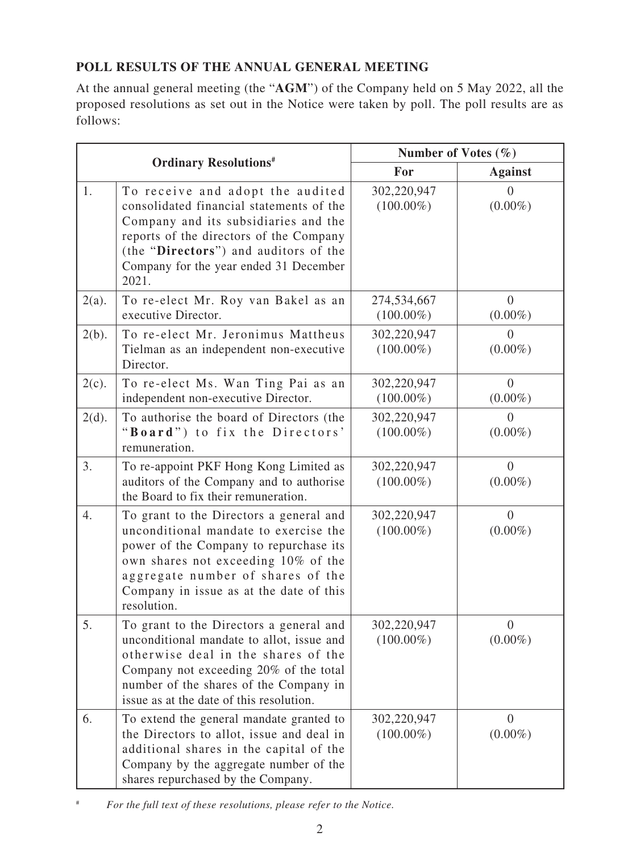## **POLL RESULTS OF THE ANNUAL GENERAL MEETING**

At the annual general meeting (the "**AGM**") of the Company held on 5 May 2022, all the proposed resolutions as set out in the Notice were taken by poll. The poll results are as follows:

| <b>Ordinary Resolutions#</b> |                                                                                                                                                                                                                                                                  | Number of Votes $(\% )$     |                              |
|------------------------------|------------------------------------------------------------------------------------------------------------------------------------------------------------------------------------------------------------------------------------------------------------------|-----------------------------|------------------------------|
|                              |                                                                                                                                                                                                                                                                  | For                         | <b>Against</b>               |
| 1.                           | To receive and adopt the audited<br>consolidated financial statements of the<br>Company and its subsidiaries and the<br>reports of the directors of the Company<br>(the "Directors") and auditors of the<br>Company for the year ended 31 December<br>2021.      | 302,220,947<br>$(100.00\%)$ | $(0.00\%)$                   |
| $2(a)$ .                     | To re-elect Mr. Roy van Bakel as an<br>executive Director.                                                                                                                                                                                                       | 274,534,667<br>$(100.00\%)$ | $\overline{0}$<br>$(0.00\%)$ |
| $2(b)$ .                     | To re-elect Mr. Jeronimus Mattheus<br>Tielman as an independent non-executive<br>Director.                                                                                                                                                                       | 302,220,947<br>$(100.00\%)$ | $\theta$<br>$(0.00\%)$       |
| $2(c)$ .                     | To re-elect Ms. Wan Ting Pai as an<br>independent non-executive Director.                                                                                                                                                                                        | 302,220,947<br>$(100.00\%)$ | $\overline{0}$<br>$(0.00\%)$ |
| $2(d)$ .                     | To authorise the board of Directors (the<br>"Board") to fix the Directors'<br>remuneration.                                                                                                                                                                      | 302,220,947<br>$(100.00\%)$ | $\theta$<br>$(0.00\%)$       |
| 3.                           | To re-appoint PKF Hong Kong Limited as<br>auditors of the Company and to authorise<br>the Board to fix their remuneration.                                                                                                                                       | 302,220,947<br>$(100.00\%)$ | $\overline{0}$<br>$(0.00\%)$ |
| 4.                           | To grant to the Directors a general and<br>unconditional mandate to exercise the<br>power of the Company to repurchase its<br>own shares not exceeding 10% of the<br>aggregate number of shares of the<br>Company in issue as at the date of this<br>resolution. | 302,220,947<br>$(100.00\%)$ | $\theta$<br>$(0.00\%)$       |
| 5.                           | To grant to the Directors a general and<br>unconditional mandate to allot, issue and<br>otherwise deal in the shares of the<br>Company not exceeding 20% of the total<br>number of the shares of the Company in<br>issue as at the date of this resolution.      | 302,220,947<br>$(100.00\%)$ | 0<br>$(0.00\%)$              |
| 6.                           | To extend the general mandate granted to<br>the Directors to allot, issue and deal in<br>additional shares in the capital of the<br>Company by the aggregate number of the<br>shares repurchased by the Company.                                                 | 302,220,947<br>$(100.00\%)$ | $\theta$<br>$(0.00\%)$       |

<sup>#</sup> *For the full text of these resolutions, please refer to the Notice.*